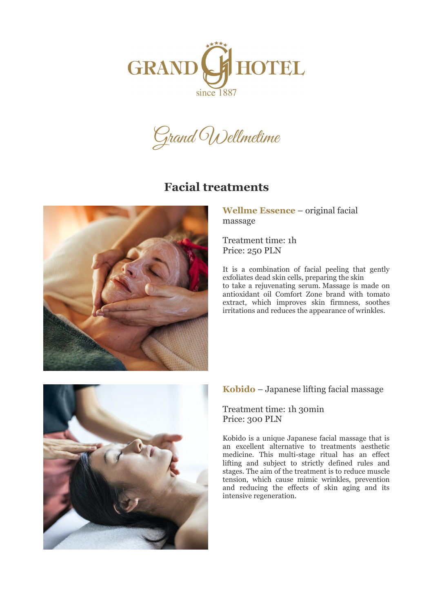



## **Facial treatments**



**Wellme Essence** – original facial massage

Treatment time: 1h Price: 250 PLN

It is a combination of facial peeling that gently exfoliates dead skin cells, preparing the skin to take a rejuvenating serum. Massage is made on antioxidant oil Comfort Zone brand with tomato extract, which improves skin firmness, soothes irritations and reduces the appearance of wrinkles.



#### **Kobido** – Japanese lifting facial massage

#### Treatment time: 1h 30min Price: 300 PLN

Kobido is a unique Japanese facial massage that is an excellent alternative to treatments aesthetic medicine. This multi-stage ritual has an effect lifting and subject to strictly defined rules and stages. The aim of the treatment is to reduce muscle tension, which cause mimic wrinkles, prevention and reducing the effects of skin aging and its intensive regeneration.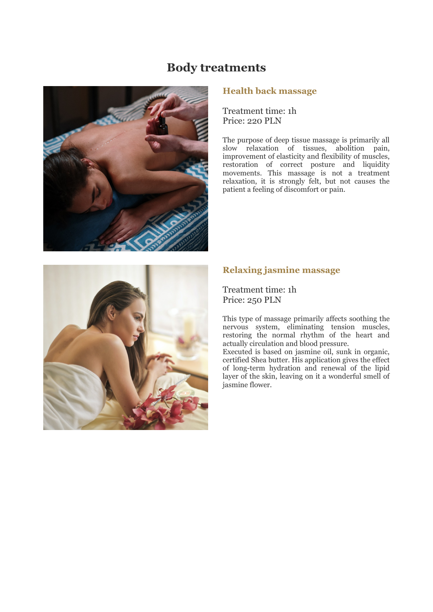### **Body treatments**



#### **Health back massage**

Treatment time: 1h Price: 220 PLN

The purpose of deep tissue massage is primarily all slow relaxation of tissues, abolition pain, improvement of elasticity and flexibility of muscles, restoration of correct posture and liquidity movements. This massage is not a treatment relaxation, it is strongly felt, but not causes the patient a feeling of discomfort or pain.



#### **Relaxing jasmine massage**

Treatment time: 1h Price: 250 PLN

This type of massage primarily affects soothing the nervous system, eliminating tension muscles, restoring the normal rhythm of the heart and actually circulation and blood pressure.

Executed is based on jasmine oil, sunk in organic, certified Shea butter. His application gives the effect of long-term hydration and renewal of the lipid layer of the skin, leaving on it a wonderful smell of jasmine flower.